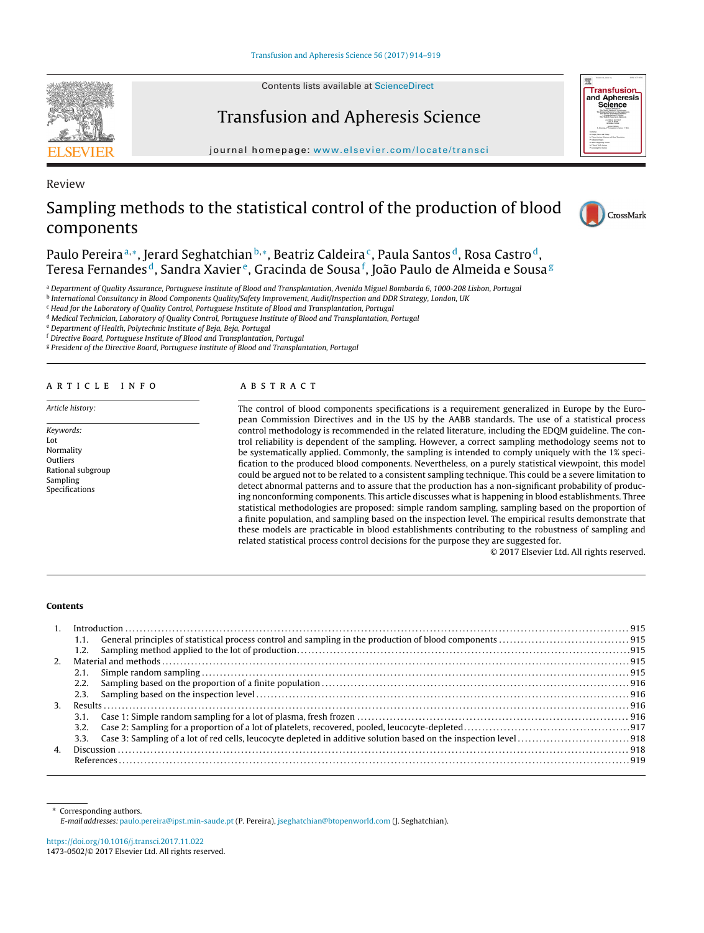Contents lists available at [ScienceDirect](http://www.sciencedirect.com/science/journal/14730502)



Review

Transfusion and Apheresis Science





# Sampling methods to the statistical control of the production of blood components



Paulo Pereira<sup>a,∗</sup>, Jerard Seghatchian<sup>b,∗</sup>, Beatriz Caldeira<sup>c</sup>, Paula Santos<sup>d</sup>, Rosa Castro<sup>d</sup>, Teresa Fernandes <sup>d</sup>, Sandra Xavier <sup>e</sup>, Gracinda de Sousa <sup>f</sup>, João Paulo de Almeida e Sousa <sup>g</sup>

a Department of Quality Assurance, Portuguese Institute of Blood and Transplantation, Avenida Miguel Bombarda 6, 1000-208 Lisbon, Portugal

**b** International Consultancy in Blood Components Quality/Safety Improvement, Audit/Inspection and DDR Strategy, London, UK

<sup>c</sup> Head for the Laboratory of Quality Control, Portuguese Institute of Blood and Transplantation, Portugal

<sup>d</sup> Medical Technician, Laboratory of Quality Control, Portuguese Institute of Blood and Transplantation, Portugal

<sup>e</sup> Department of Health, Polytechnic Institute of Beja, Beja, Portugal

<sup>f</sup> Directive Board, Portuguese Institute of Blood and Transplantation, Portugal

<sup>g</sup> President of the Directive Board, Portuguese Institute of Blood and Transplantation, Portugal

## a r t i c l e i n f o

Article history:

Keywords: Lot Normality Outliers Rational subgroup Sampling Specifications

## a b s t r a c t

The control of blood components specifications is a requirement generalized in Europe by the European Commission Directives and in the US by the AABB standards. The use of a statistical process control methodology is recommended in the related literature, including the EDQM guideline. The control reliability is dependent of the sampling. However, a correct sampling methodology seems not to be systematically applied. Commonly, the sampling is intended to comply uniquely with the 1% specification to the produced blood components. Nevertheless, on a purely statistical viewpoint, this model could be argued not to be related to a consistent sampling technique. This could be a severe limitation to detect abnormal patterns and to assure that the production has a non-significant probability of producing nonconforming components. This article discusses what is happening in blood establishments. Three statistical methodologies are proposed: simple random sampling, sampling based on the proportion of a finite population, and sampling based on the inspection level. The empirical results demonstrate that these models are practicable in blood establishments contributing to the robustness of sampling and related statistical process control decisions for the purpose they are suggested for.

© 2017 Elsevier Ltd. All rights reserved.

#### **Contents**

|                | 1.1.             |  |
|----------------|------------------|--|
|                | 1.2.             |  |
| $2^{\circ}$    |                  |  |
|                |                  |  |
|                | 2.2.             |  |
|                |                  |  |
| 3 <sub>1</sub> |                  |  |
|                |                  |  |
|                | 3.2 <sub>1</sub> |  |
|                |                  |  |
| $\mathbf{4}$   |                  |  |
|                |                  |  |
|                |                  |  |

∗ Corresponding authors.

E-mail addresses:[paulo.pereira@ipst.min-saude.pt](mailto:paulo.pereira@ipst.min-saude.pt) (P. Pereira), [jseghatchian@btopenworld.com](mailto:jseghatchian@btopenworld.com) (J. Seghatchian).

<https://doi.org/10.1016/j.transci.2017.11.022> 1473-0502/© 2017 Elsevier Ltd. All rights reserved.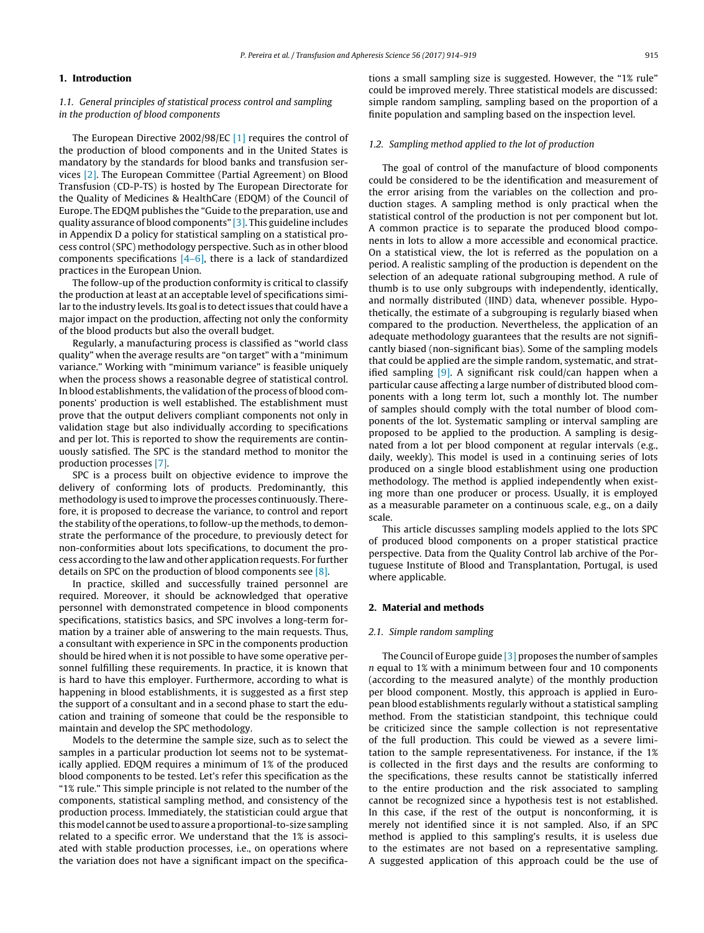## **1. Introduction**

## 1.1. General principles of statistical process control and sampling in the production of blood components

The European Directive 2002/98/EC [\[1\]](#page-5-0) requires the control of the production of blood components and in the United States is mandatory by the standards for blood banks and transfusion services [\[2\].](#page-5-0) The European Committee (Partial Agreement) on Blood Transfusion (CD-P-TS) is hosted by The European Directorate for the Quality of Medicines & HealthCare (EDQM) of the Council of Europe. The EDQM publishes the "Guide to the preparation, use and quality assurance of blood components" [\[3\].](#page-5-0) This guideline includes in Appendix D a policy for statistical sampling on a statistical process control (SPC) methodology perspective. Such as in other blood components specifications  $[4-6]$ , there is a lack of standardized practices in the European Union.

The follow-up of the production conformity is critical to classify the production at least at an acceptable level of specifications similar to the industry levels. Its goal is to detect issues that could have a major impact on the production, affecting not only the conformity of the blood products but also the overall budget.

Regularly, a manufacturing process is classified as "world class quality" when the average results are "on target" with a "minimum variance." Working with "minimum variance" is feasible uniquely when the process shows a reasonable degree of statistical control. In blood establishments, the validation of the process of blood components' production is well established. The establishment must prove that the output delivers compliant components not only in validation stage but also individually according to specifications and per lot. This is reported to show the requirements are continuously satisfied. The SPC is the standard method to monitor the production processes [\[7\].](#page-5-0)

SPC is a process built on objective evidence to improve the delivery of conforming lots of products. Predominantly, this methodology is used to improve the processes continuously. Therefore, it is proposed to decrease the variance, to control and report the stability of the operations, to follow-up the methods, to demonstrate the performance of the procedure, to previously detect for non-conformities about lots specifications, to document the process according to the law and other application requests. For further details on SPC on the production of blood components see [\[8\].](#page-5-0)

In practice, skilled and successfully trained personnel are required. Moreover, it should be acknowledged that operative personnel with demonstrated competence in blood components specifications, statistics basics, and SPC involves a long-term formation by a trainer able of answering to the main requests. Thus, a consultant with experience in SPC in the components production should be hired when it is not possible to have some operative personnel fulfilling these requirements. In practice, it is known that is hard to have this employer. Furthermore, according to what is happening in blood establishments, it is suggested as a first step the support of a consultant and in a second phase to start the education and training of someone that could be the responsible to maintain and develop the SPC methodology.

Models to the determine the sample size, such as to select the samples in a particular production lot seems not to be systematically applied. EDQM requires a minimum of 1% of the produced blood components to be tested. Let's refer this specification as the "1% rule." This simple principle is not related to the number of the components, statistical sampling method, and consistency of the production process. Immediately, the statistician could argue that this model cannot be used to assure a proportional-to-size sampling related to a specific error. We understand that the 1% is associated with stable production processes, i.e., on operations where the variation does not have a significant impact on the specifications a small sampling size is suggested. However, the "1% rule" could be improved merely. Three statistical models are discussed: simple random sampling, sampling based on the proportion of a finite population and sampling based on the inspection level.

## 1.2. Sampling method applied to the lot of production

The goal of control of the manufacture of blood components could be considered to be the identification and measurement of the error arising from the variables on the collection and production stages. A sampling method is only practical when the statistical control of the production is not per component but lot. A common practice is to separate the produced blood components in lots to allow a more accessible and economical practice. On a statistical view, the lot is referred as the population on a period. A realistic sampling of the production is dependent on the selection of an adequate rational subgrouping method. A rule of thumb is to use only subgroups with independently, identically, and normally distributed (IIND) data, whenever possible. Hypothetically, the estimate of a subgrouping is regularly biased when compared to the production. Nevertheless, the application of an adequate methodology guarantees that the results are not significantly biased (non-significant bias). Some of the sampling models that could be applied are the simple random, systematic, and stratified sampling  $[9]$ . A significant risk could/can happen when a particular cause affecting a large number of distributed blood components with a long term lot, such a monthly lot. The number of samples should comply with the total number of blood components of the lot. Systematic sampling or interval sampling are proposed to be applied to the production. A sampling is designated from a lot per blood component at regular intervals (e.g., daily, weekly). This model is used in a continuing series of lots produced on a single blood establishment using one production methodology. The method is applied independently when existing more than one producer or process. Usually, it is employed as a measurable parameter on a continuous scale, e.g., on a daily scale.

This article discusses sampling models applied to the lots SPC of produced blood components on a proper statistical practice perspective. Data from the Quality Control lab archive of the Portuguese Institute of Blood and Transplantation, Portugal, is used where applicable.

#### **2. Material and methods**

#### 2.1. Simple random sampling

The Council of Europe guide [\[3\]](#page-5-0) proposes the number of samples n equal to 1% with a minimum between four and 10 components (according to the measured analyte) of the monthly production per blood component. Mostly, this approach is applied in European blood establishments regularly without a statistical sampling method. From the statistician standpoint, this technique could be criticized since the sample collection is not representative of the full production. This could be viewed as a severe limitation to the sample representativeness. For instance, if the 1% is collected in the first days and the results are conforming to the specifications, these results cannot be statistically inferred to the entire production and the risk associated to sampling cannot be recognized since a hypothesis test is not established. In this case, if the rest of the output is nonconforming, it is merely not identified since it is not sampled. Also, if an SPC method is applied to this sampling's results, it is useless due to the estimates are not based on a representative sampling. A suggested application of this approach could be the use of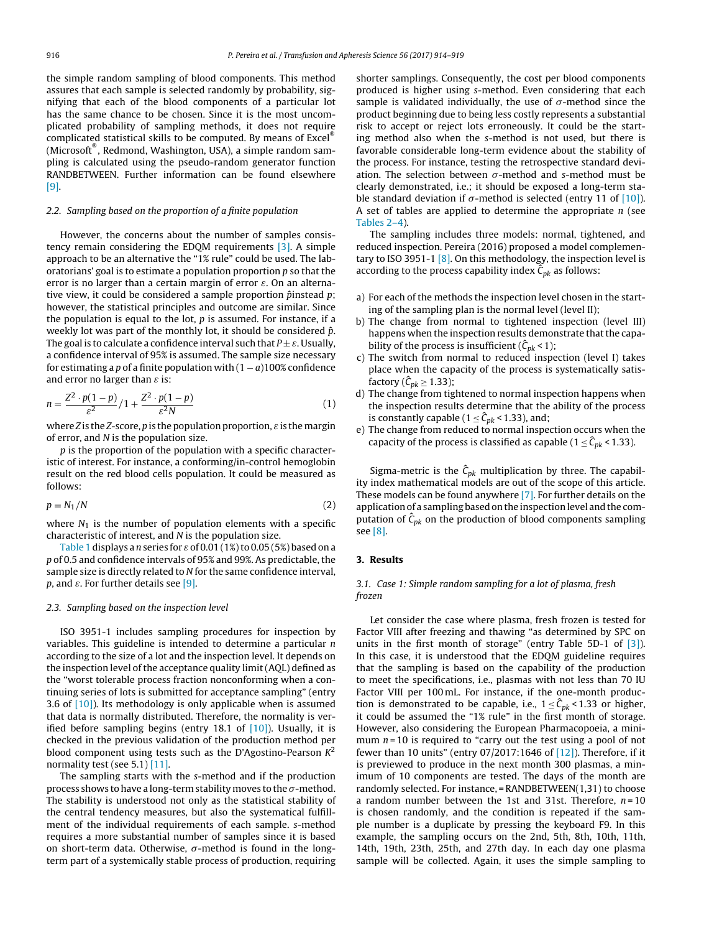the simple random sampling of blood components. This method assures that each sample is selected randomly by probability, signifying that each of the blood components of a particular lot has the same chance to be chosen. Since it is the most uncomplicated probability of sampling methods, it does not require complicated statistical skills to be computed. By means of Excel® (Microsoft® , Redmond, Washington, USA), a simple random sampling is calculated using the pseudo-random generator function RANDBETWEEN. Further information can be found elsewhere [\[9\].](#page-5-0)

## 2.2. Sampling based on the proportion of a finite population

However, the concerns about the number of samples consistency remain considering the EDQM requirements [\[3\].](#page-5-0) A simple approach to be an alternative the "1% rule" could be used. The laboratorians' goal is to estimate a population proportion  $p$  so that the error is no larger than a certain margin of error  $\varepsilon$ . On an alternative view, it could be considered a sample proportion  $\hat{p}$ instead  $p$ ; however, the statistical principles and outcome are similar. Since the population is equal to the lot,  $p$  is assumed. For instance, if a weekly lot was part of the monthly lot, it should be considered  $\hat{p}$ . The goal is to calculate a confidence interval such that  $P \pm \varepsilon$ . Usually, a confidence interval of 95% is assumed. The sample size necessary for estimating a p of a finite population with  $(1 - a)100\%$  confidence and error no larger than  $\varepsilon$  is:

$$
n = \frac{Z^2 \cdot p(1-p)}{\varepsilon^2} / 1 + \frac{Z^2 \cdot p(1-p)}{\varepsilon^2 N}
$$
 (1)

where Z is the Z-score, p is the population proportion,  $\varepsilon$  is the margin of error, and N is the population size.

p is the proportion of the population with a specific characteristic of interest. For instance, a conforming/in-control hemoglobin result on the red blood cells population. It could be measured as follows:

$$
p = N_1/N \tag{2}
$$

where  $N_1$  is the number of population elements with a specific characteristic of interest, and N is the population size.

[Table](#page-3-0) 1 displays a n series for  $\varepsilon$  of 0.01 (1%) to 0.05 (5%) based on a p of 0.5 and confidence intervals of 95% and 99%. As predictable, the sample size is directly related to N for the same confidence interval, p, and  $\varepsilon$ . For further details see [\[9\].](#page-5-0)

#### 2.3. Sampling based on the inspection level

ISO 3951-1 includes sampling procedures for inspection by variables. This guideline is intended to determine a particular  $n$ according to the size of a lot and the inspection level. It depends on the inspection level of the acceptance quality limit (AQL) defined as the "worst tolerable process fraction nonconforming when a continuing series of lots is submitted for acceptance sampling" (entry 3.6 of [\[10\]\).](#page-5-0) Its methodology is only applicable when is assumed that data is normally distributed. Therefore, the normality is verified before sampling begins (entry 18.1 of  $[10]$ ). Usually, it is checked in the previous validation of the production method per blood component using tests such as the D'Agostino-Pearson  $K^2$ normality test (see 5.1) [\[11\].](#page-5-0)

The sampling starts with the s-method and if the production process shows to have a long-term stability moves to the  $\sigma$ -method. The stability is understood not only as the statistical stability of the central tendency measures, but also the systematical fulfillment of the individual requirements of each sample. s-method requires a more substantial number of samples since it is based on short-term data. Otherwise,  $\sigma$ -method is found in the longterm part of a systemically stable process of production, requiring

shorter samplings. Consequently, the cost per blood components produced is higher using s-method. Even considering that each sample is validated individually, the use of  $\sigma$ -method since the product beginning due to being less costly represents a substantial risk to accept or reject lots erroneously. It could be the starting method also when the s-method is not used, but there is favorable considerable long-term evidence about the stability of the process. For instance, testing the retrospective standard deviation. The selection between  $\sigma$ -method and s-method must be clearly demonstrated, i.e.; it should be exposed a long-term stable standard deviation if  $\sigma$ -method is selected (entry 11 of [\[10\]\).](#page-5-0) A set of tables are applied to determine the appropriate  $n$  (see [Tables](#page-3-0) 2–4).

The sampling includes three models: normal, tightened, and reduced inspection. Pereira (2016) proposed a model complementary to ISO 3951-1  $[8]$ . On this methodology, the inspection level is according to the process capability index  $\hat{C}_{pk}$  as follows:

- a) For each of the methods the inspection level chosen in the starting of the sampling plan is the normal level (level II);
- b) The change from normal to tightened inspection (level III) happens when the inspection results demonstrate that the capability of the process is insufficient ( $\hat{C}_{pk}$  < 1);
- c) The switch from normal to reduced inspection (level I) takes place when the capacity of the process is systematically satisfactory ( $\hat{C}_{pk} \ge 1.33$ );
- d) The change from tightened to normal inspection happens when the inspection results determine that the ability of the process is constantly capable ( $1 \leq \hat{C}_{pk}$  < 1.33), and;
- e) The change from reduced to normal inspection occurs when the capacity of the process is classified as capable ( $1 \leq \hat{C}_{pk}$  < 1.33).

Sigma-metric is the  $\hat{C}_{pk}$  multiplication by three. The capability index mathematical models are out of the scope of this article. These models can be found anywhere [\[7\].](#page-5-0) For further details on the application of a sampling based on the inspection level and the computation of  $\hat{C}_{pk}$  on the production of blood components sampling see [\[8\].](#page-5-0)

#### **3. Results**

## 3.1. Case 1: Simple random sampling for a lot of plasma, fresh frozen

Let consider the case where plasma, fresh frozen is tested for Factor VIII after freezing and thawing "as determined by SPC on units in the first month of storage" (entry Table 5D-1 of [\[3\]\).](#page-5-0) In this case, it is understood that the EDQM guideline requires that the sampling is based on the capability of the production to meet the specifications, i.e., plasmas with not less than 70 IU Factor VIII per 100 mL. For instance, if the one-month production is demonstrated to be capable, i.e.,  $1 \leq \hat{C}_{pk}$  < 1.33 or higher, it could be assumed the "1% rule" in the first month of storage. However, also considering the European Pharmacopoeia, a minimum  $n = 10$  is required to "carry out the test using a pool of not fewer than 10 units" (entry  $07/2017:1646$  of  $[12]$ ). Therefore, if it is previewed to produce in the next month 300 plasmas, a minimum of 10 components are tested. The days of the month are randomly selected. For instance, = RANDBETWEEN(1,31) to choose a random number between the 1st and 31st. Therefore,  $n = 10$ is chosen randomly, and the condition is repeated if the sample number is a duplicate by pressing the keyboard F9. In this example, the sampling occurs on the 2nd, 5th, 8th, 10th, 11th, 14th, 19th, 23th, 25th, and 27th day. In each day one plasma sample will be collected. Again, it uses the simple sampling to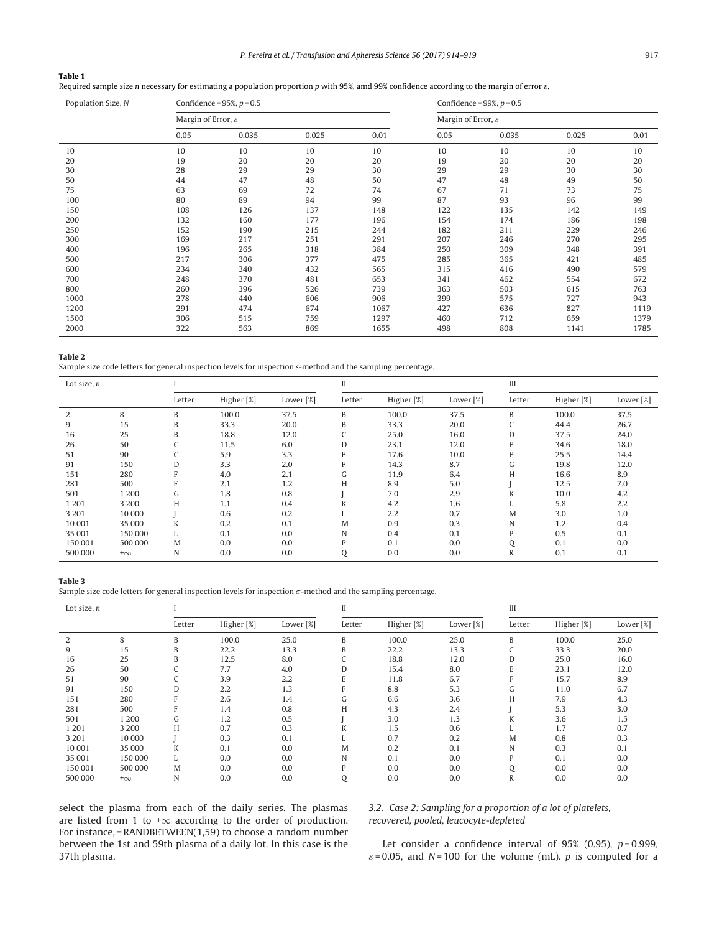P. Pereira et al. / Transfusion and Apheresis Science 56 (2017) 914-919 917

#### <span id="page-3-0"></span>**Table 1**

Required sample size n necessary for estimating a population proportion p with 95%, amd 99% confidence according to the margin of error ε.

| Population Size, N |                                | Confidence = $95\%$ , $p = 0.5$ |       | Confidence = $99\%$ , $p = 0.5$ |                                |       |       |      |  |
|--------------------|--------------------------------|---------------------------------|-------|---------------------------------|--------------------------------|-------|-------|------|--|
|                    | Margin of Error, $\varepsilon$ |                                 |       |                                 | Margin of Error, $\varepsilon$ |       |       |      |  |
|                    | 0.05                           | 0.035                           | 0.025 | 0.01                            | 0.05                           | 0.035 | 0.025 | 0.01 |  |
| 10                 | 10                             | 10                              | 10    | 10                              | 10                             | 10    | 10    | 10   |  |
| 20                 | 19                             | 20                              | 20    | 20                              | 19                             | 20    | 20    | 20   |  |
| 30                 | 28                             | 29                              | 29    | 30                              | 29                             | 29    | 30    | 30   |  |
| 50                 | 44                             | 47                              | 48    | 50                              | 47                             | 48    | 49    | 50   |  |
| 75                 | 63                             | 69                              | 72    | 74                              | 67                             | 71    | 73    | 75   |  |
| 100                | 80                             | 89                              | 94    | 99                              | 87                             | 93    | 96    | 99   |  |
| 150                | 108                            | 126                             | 137   | 148                             | 122                            | 135   | 142   | 149  |  |
| 200                | 132                            | 160                             | 177   | 196                             | 154                            | 174   | 186   | 198  |  |
| 250                | 152                            | 190                             | 215   | 244                             | 182                            | 211   | 229   | 246  |  |
| 300                | 169                            | 217                             | 251   | 291                             | 207                            | 246   | 270   | 295  |  |
| 400                | 196                            | 265                             | 318   | 384                             | 250                            | 309   | 348   | 391  |  |
| 500                | 217                            | 306                             | 377   | 475                             | 285                            | 365   | 421   | 485  |  |
| 600                | 234                            | 340                             | 432   | 565                             | 315                            | 416   | 490   | 579  |  |
| 700                | 248                            | 370                             | 481   | 653                             | 341                            | 462   | 554   | 672  |  |
| 800                | 260                            | 396                             | 526   | 739                             | 363                            | 503   | 615   | 763  |  |
| 1000               | 278                            | 440                             | 606   | 906                             | 399                            | 575   | 727   | 943  |  |
| 1200               | 291                            | 474                             | 674   | 1067                            | 427                            | 636   | 827   | 1119 |  |
| 1500               | 306                            | 515                             | 759   | 1297                            | 460                            | 712   | 659   | 1379 |  |
| 2000               | 322                            | 563                             | 869   | 1655                            | 498                            | 808   | 1141  | 1785 |  |

#### **Table 2**

Sample size code letters for general inspection levels for inspection s-method and the sampling percentage.

| Lot size, $n$ |           |                 |            |           | II     |            |           | III          |            |           |
|---------------|-----------|-----------------|------------|-----------|--------|------------|-----------|--------------|------------|-----------|
|               |           | Letter          | Higher [%] | Lower [%] | Letter | Higher [%] | Lower [%] | Letter       | Higher [%] | Lower [%] |
| 2             | 8         | B               | 100.0      | 37.5      | B      | 100.0      | 37.5      | B            | 100.0      | 37.5      |
| 9             | 15        | B               | 33.3       | 20.0      | B      | 33.3       | 20.0      | C            | 44.4       | 26.7      |
| 16            | 25        | B               | 18.8       | 12.0      |        | 25.0       | 16.0      | D            | 37.5       | 24.0      |
| 26            | 50        | $\sqrt{2}$<br>◡ | 11.5       | 6.0       | D      | 23.1       | 12.0      | E            | 34.6       | 18.0      |
| 51            | 90        | J               | 5.9        | 3.3       | E      | 17.6       | 10.0      | F            | 25.5       | 14.4      |
| 91            | 150       | D               | 3.3        | 2.0       | F      | 14.3       | 8.7       | G            | 19.8       | 12.0      |
| 151           | 280       |                 | 4.0        | 2.1       | G      | 11.9       | 6.4       | H            | 16.6       | 8.9       |
| 281           | 500       |                 | 2.1        | 1.2       | H      | 8.9        | 5.0       |              | 12.5       | 7.0       |
| 501           | 1 2 0 0   | G               | 1.8        | 0.8       |        | 7.0        | 2.9       | K            | 10.0       | 4.2       |
| 1 2 0 1       | 3 2 0 0   | H               | 1.1        | 0.4       | K      | 4.2        | 1.6       | L.           | 5.8        | 2.2       |
| 3 2 0 1       | 10 000    |                 | 0.6        | 0.2       |        | 2.2        | 0.7       | M            | 3.0        | 1.0       |
| 10 001        | 35 000    | K               | 0.2        | 0.1       | M      | 0.9        | 0.3       | N            | 1.2        | 0.4       |
| 35 001        | 150 000   | L               | 0.1        | 0.0       | N      | 0.4        | 0.1       | P            | 0.5        | 0.1       |
| 150 001       | 500 000   | M               | 0.0        | 0.0       | D      | 0.1        | 0.0       | Q            | 0.1        | 0.0       |
| 500 000       | $+\infty$ | N               | 0.0        | 0.0       | Q      | 0.0        | 0.0       | $\mathbb{R}$ | 0.1        | 0.1       |

#### **Table 3**

Sample size code letters for general inspection levels for inspection  $\sigma$ -method and the sampling percentage.

| Lot size, $n$ |           |                 |            |           | $\mathbf{I}$ |            |           | Ш      |            |           |
|---------------|-----------|-----------------|------------|-----------|--------------|------------|-----------|--------|------------|-----------|
|               |           | Letter          | Higher [%] | Lower [%] | Letter       | Higher [%] | Lower [%] | Letter | Higher [%] | Lower [%] |
| 2             | 8         | B               | 100.0      | 25.0      | B            | 100.0      | 25.0      | B      | 100.0      | 25.0      |
| 9             | 15        | B               | 22.2       | 13.3      | B            | 22.2       | 13.3      | J      | 33.3       | 20.0      |
| 16            | 25        | B               | 12.5       | 8.0       |              | 18.8       | 12.0      | D      | 25.0       | 16.0      |
| 26            | 50        | J               | 7.7        | 4.0       | D            | 15.4       | 8.0       | E      | 23.1       | 12.0      |
| 51            | 90        | $\sqrt{2}$<br>J | 3.9        | 2.2       | E            | 11.8       | 6.7       | F      | 15.7       | 8.9       |
| 91            | 150       | D               | 2.2        | 1.3       |              | 8.8        | 5.3       | G      | 11.0       | 6.7       |
| 151           | 280       | F               | 2.6        | 1.4       | G            | 6.6        | 3.6       | H      | 7.9        | 4.3       |
| 281           | 500       | F               | 1.4        | 0.8       | H            | 4.3        | 2.4       |        | 5.3        | 3.0       |
| 501           | 1 2 0 0   | G               | 1.2        | 0.5       |              | 3.0        | 1.3       | K      | 3.6        | 1.5       |
| 1 2 0 1       | 3 2 0 0   | H               | 0.7        | 0.3       | K            | 1.5        | 0.6       |        | 1.7        | 0.7       |
| 3 2 0 1       | 10 000    |                 | 0.3        | 0.1       |              | 0.7        | 0.2       | M      | 0.8        | 0.3       |
| 10 001        | 35 000    | K               | 0.1        | 0.0       | M            | 0.2        | 0.1       | N      | 0.3        | 0.1       |
| 35 001        | 150 000   |                 | 0.0        | 0.0       | N            | 0.1        | 0.0       | P      | 0.1        | 0.0       |
| 150 001       | 500 000   | М               | 0.0        | 0.0       | P            | 0.0        | 0.0       | Q      | 0.0        | 0.0       |
| 500 000       | $+\infty$ | N               | 0.0        | 0.0       | Q            | 0.0        | 0.0       | R      | 0.0        | 0.0       |

select the plasma from each of the daily series. The plasmas are listed from 1 to + $\infty$  according to the order of production. For instance, = RANDBETWEEN(1,59) to choose a random number between the 1st and 59th plasma of a daily lot. In this case is the 37th plasma.

3.2. Case 2: Sampling for a proportion of a lot of platelets, recovered, pooled, leucocyte-depleted

Let consider a confidence interval of 95% (0.95),  $p = 0.999$ ,  $\varepsilon$  = 0.05, and N = 100 for the volume (mL). p is computed for a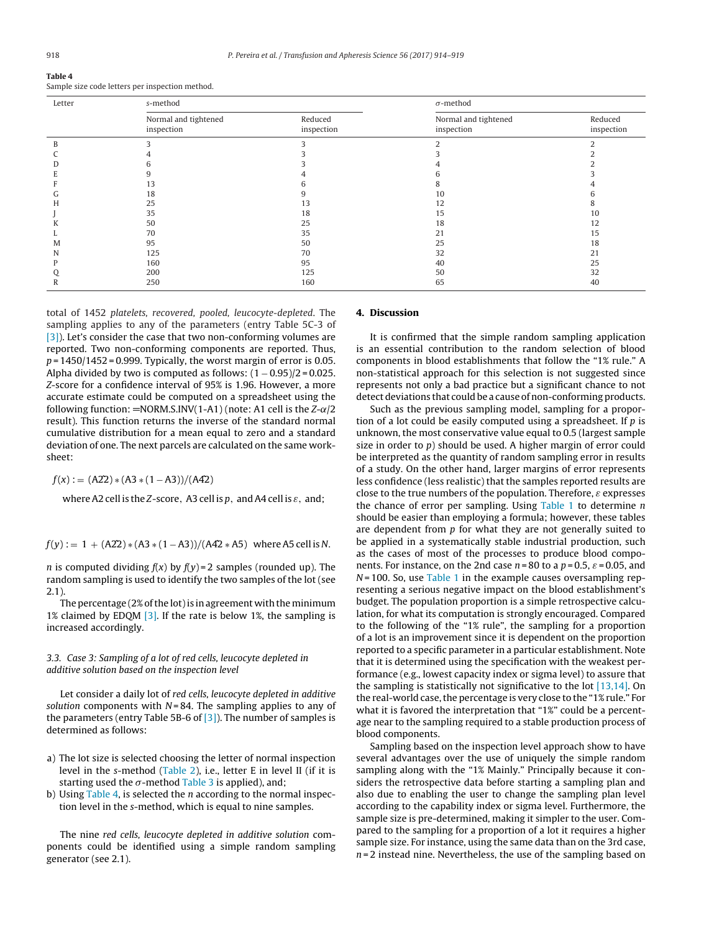| <b>Table 4</b>                                  |  |  |
|-------------------------------------------------|--|--|
| Sample size code letters per inspection method. |  |  |

| Letter | s-method                           |                       | $\sigma$ -method                   |                       |  |  |
|--------|------------------------------------|-----------------------|------------------------------------|-----------------------|--|--|
|        | Normal and tightened<br>inspection | Reduced<br>inspection | Normal and tightened<br>inspection | Reduced<br>inspection |  |  |
|        |                                    |                       |                                    |                       |  |  |
|        |                                    |                       |                                    |                       |  |  |
|        |                                    |                       |                                    |                       |  |  |
|        |                                    |                       |                                    |                       |  |  |
|        | 13                                 |                       |                                    |                       |  |  |
|        | 18                                 |                       | 10                                 |                       |  |  |
|        | 25                                 | 13                    | 12                                 |                       |  |  |
|        | 35                                 | 18                    | 15                                 | 10                    |  |  |
|        | 50                                 | 25                    | 18                                 | 12                    |  |  |
|        | 70                                 | 35                    | 21                                 | 15                    |  |  |
| M      | 95                                 | 50                    | 25                                 | 18                    |  |  |
| N      | 125                                | 70                    | 32                                 | 21                    |  |  |
|        | 160                                | 95                    | 40                                 | 25                    |  |  |
|        | 200                                | 125                   | 50                                 | 32                    |  |  |
|        | 250                                | 160                   | 65                                 | 40                    |  |  |

total of 1452 platelets, recovered, pooled, leucocyte-depleted. The sampling applies to any of the parameters (entry Table 5C-3 of [\[3\]\).](#page-5-0) Let's consider the case that two non-conforming volumes are reported. Two non-conforming components are reported. Thus,  $p = 1450/1452 = 0.999$ . Typically, the worst margin of error is 0.05. Alpha divided by two is computed as follows:  $(1 - 0.95)/2 = 0.025$ . Z-score for a confidence interval of 95% is 1.96. However, a more accurate estimate could be computed on a spreadsheet using the following function:  $=NORM.S.INV(1-A1)$  (note: A1 cell is the  $Z-\alpha/2$ result). This function returns the inverse of the standard normal cumulative distribution for a mean equal to zero and a standard deviation of one. The next parcels are calculated on the same worksheet:

 $f(x) := (A22) * (A3 * (1 - A3)) / (A42)$ 

where A2 cell is the Z-score, A3 cell is p, and A4 cell is  $\varepsilon$ , and;

 $f(y) := 1 + (A22) * (A3 * (1 - A3))/(A42 * A5)$  where A5 cell is N.

*n* is computed dividing  $f(x)$  by  $f(y) = 2$  samples (rounded up). The random sampling is used to identify the two samples of the lot (see 2.1).

The percentage  $(2\%$  of the lot) is in agreement with the minimum 1% claimed by EDQM  $\left[3\right]$ . If the rate is below 1%, the sampling is increased accordingly.

## 3.3. Case 3: Sampling of a lot of red cells, leucocyte depleted in additive solution based on the inspection level

Let consider a daily lot of red cells, leucocyte depleted in additive solution components with  $N = 84$ . The sampling applies to any of the parameters (entry Table 5B-6 of  $[3]$ ). The number of samples is determined as follows:

- a) The lot size is selected choosing the letter of normal inspection level in the s-method [\(Table](#page-3-0) 2), i.e., letter E in level II (if it is starting used the  $\sigma$ -method [Table](#page-3-0) 3 is applied), and;
- b) Using Table 4, is selected the *n* according to the normal inspection level in the s-method, which is equal to nine samples.

The nine red cells, leucocyte depleted in additive solution components could be identified using a simple random sampling generator (see 2.1).

## **4. Discussion**

It is confirmed that the simple random sampling application is an essential contribution to the random selection of blood components in blood establishments that follow the "1% rule." A non-statistical approach for this selection is not suggested since represents not only a bad practice but a significant chance to not detect deviations that could be a cause of non-conforming products.

Such as the previous sampling model, sampling for a proportion of a lot could be easily computed using a spreadsheet. If  $p$  is unknown, the most conservative value equal to 0.5 (largest sample size in order to  $p$ ) should be used. A higher margin of error could be interpreted as the quantity of random sampling error in results of a study. On the other hand, larger margins of error represents less confidence (less realistic) that the samples reported results are close to the true numbers of the population. Therefore,  $\varepsilon$  expresses the chance of error per sampling. Using  $Table 1$  $Table 1$  to determine  $n$ should be easier than employing a formula; however, these tables are dependent from  $p$  for what they are not generally suited to be applied in a systematically stable industrial production, such as the cases of most of the processes to produce blood components. For instance, on the 2nd case  $n = 80$  to a  $p = 0.5$ ,  $\varepsilon = 0.05$ , and  $N = 100$ . So, use [Table](#page-3-0) 1 in the example causes oversampling representing a serious negative impact on the blood establishment's budget. The population proportion is a simple retrospective calculation, for what its computation is strongly encouraged. Compared to the following of the "1% rule", the sampling for a proportion of a lot is an improvement since it is dependent on the proportion reported to a specific parameter in a particular establishment. Note that it is determined using the specification with the weakest performance (e.g., lowest capacity index or sigma level) to assure that the sampling is statistically not significative to the lot [\[13,14\].](#page-5-0) On the real-world case, the percentage is very close to the "1% rule." For what it is favored the interpretation that "1%" could be a percentage near to the sampling required to a stable production process of blood components.

Sampling based on the inspection level approach show to have several advantages over the use of uniquely the simple random sampling along with the "1% Mainly." Principally because it considers the retrospective data before starting a sampling plan and also due to enabling the user to change the sampling plan level according to the capability index or sigma level. Furthermore, the sample size is pre-determined, making it simpler to the user. Compared to the sampling for a proportion of a lot it requires a higher sample size. For instance, using the same data than on the 3rd case,  $n = 2$  instead nine. Nevertheless, the use of the sampling based on